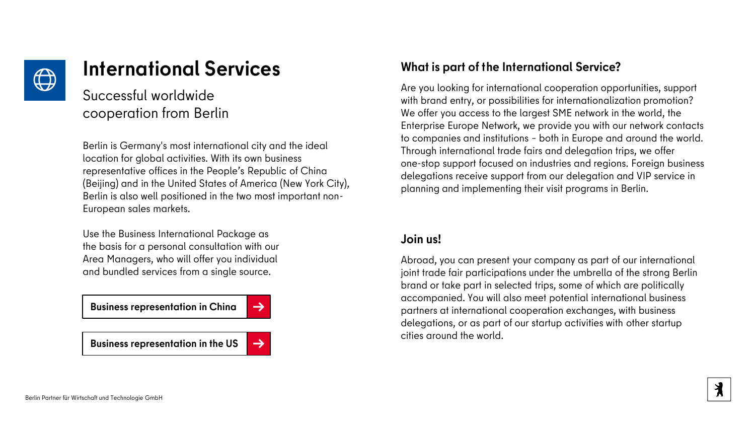

# **International Services**

## Successful worldwide cooperation from Berlin

Berlin is Germany's most international city and the ideal location for global activities. With its own business representative offices in the People's Republic of China (Beijing) and in the United States of America (New York City), Berlin is also well positioned in the two most important non-European sales markets.

Use the Business International Package as the basis for a personal consultation with our Area Managers, who will offer you individual and bundled services from a single source.

**[Business representation in China](https://www.businesslocationcenter.de/unsere-leistungen-fuer-ihr-unternehmen/internationalisierung/wirtschaftsvertretung-in-china/)** 

**[Business representation in the US](https://www.businesslocationcenter.de/unsere-leistungen-fuer-ihr-unternehmen/internationalisierung/wirtschaftsvertretung-in-den-usa/) [→](https://www.businesslocationcenter.de/unsere-leistungen-fuer-ihr-unternehmen/internationalisierung/wirtschaftsvertretung-in-den-usa/)** 



### **What is part of the International Service?**

Are you looking for international cooperation opportunities, support with brand entry, or possibilities for internationalization promotion? We offer you access to the largest SME network in the world, the Enterprise Europe Network, we provide you with our network contacts to companies and institutions – both in Europe and around the world. Through international trade fairs and delegation trips, we offer one-stop support focused on industries and regions. Foreign business delegations receive support from our delegation and VIP service in planning and implementing their visit programs in Berlin.

### **Join us!**

Abroad, you can present your company as part of our international joint trade fair participations under the umbrella of the strong Berlin brand or take part in selected trips, some of which are politically accompanied. You will also meet potential international business partners at international cooperation exchanges, with business delegations, or as part of our startup activities with other startup cities around the world.